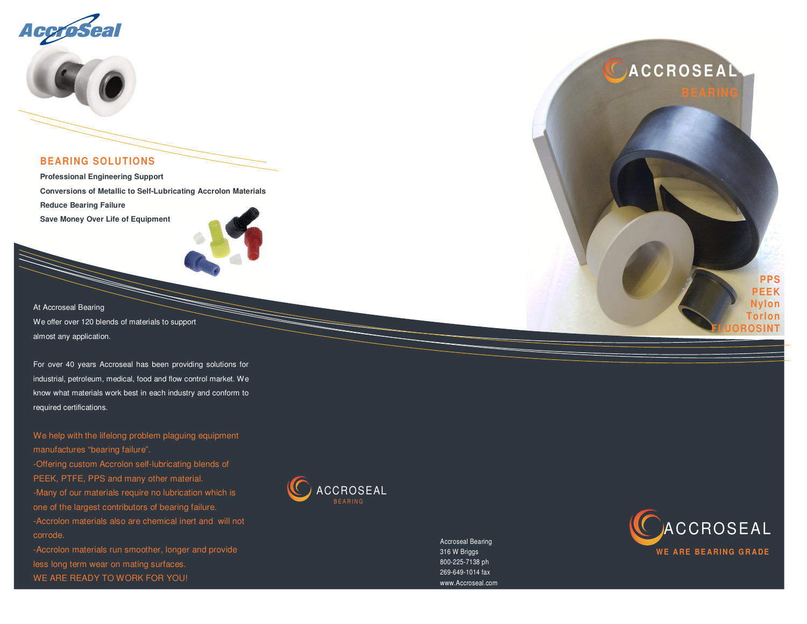

### **BEARING SOLUTIONS**

 **Professional Engineering Support Conversions of Metallic to Self-Lubricating Accrolon Materials Reduce Bearing Failure Save Money Over Life of Equipment** 

At Accroseal Bearing We offer over 120 blends of materials to support almost any application.

For over 40 years Accroseal has been providing solutions for industrial, petroleum, medical, food and flow control market. We know what materials work best in each industry and conform to required certifications.

We help with the lifelong problem plaguing equipment manufactures "bearing failure".

-Offering custom Accrolon self-lubricating blends of PEEK, PTFE, PPS and many other material. -Many of our materials require no lubrication which is one of the largest contributors of bearing failure.-Accrolon materials also are chemical inert and will not corrode.

-Accrolon materials run smoother, longer and provide less long term wear on mating surfaces. WE ARE READY TO WORK FOR YOU!



Accroseal Bearing 316 W Briggs 800-225-7138 ph 269-649-1014 fax www.Accroseal.com



**A C C R O S E A L**

**PPS PEEK NylonTorlon**

**FLUOROSINT**